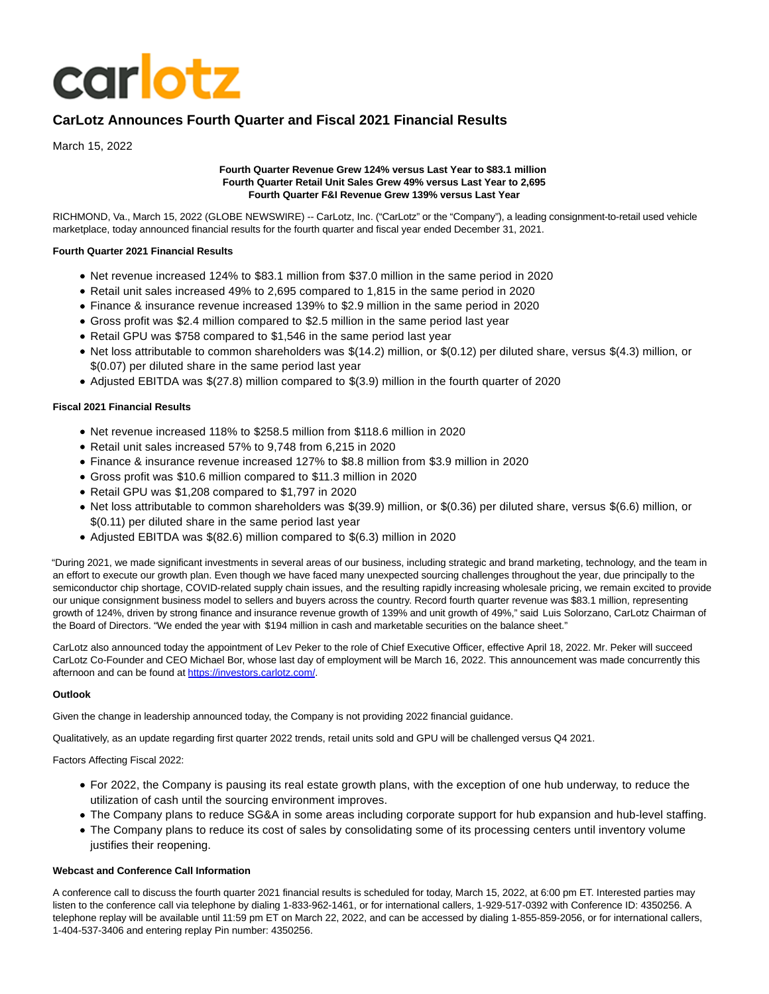# **carlotz**

# **CarLotz Announces Fourth Quarter and Fiscal 2021 Financial Results**

March 15, 2022

## **Fourth Quarter Revenue Grew 124% versus Last Year to \$83.1 million Fourth Quarter Retail Unit Sales Grew 49% versus Last Year to 2,695 Fourth Quarter F&I Revenue Grew 139% versus Last Year**

RICHMOND, Va., March 15, 2022 (GLOBE NEWSWIRE) -- CarLotz, Inc. ("CarLotz" or the "Company"), a leading consignment-to-retail used vehicle marketplace, today announced financial results for the fourth quarter and fiscal year ended December 31, 2021.

## **Fourth Quarter 2021 Financial Results**

- Net revenue increased 124% to \$83.1 million from \$37.0 million in the same period in 2020
- Retail unit sales increased 49% to 2,695 compared to 1,815 in the same period in 2020
- Finance & insurance revenue increased 139% to \$2.9 million in the same period in 2020
- Gross profit was \$2.4 million compared to \$2.5 million in the same period last year
- Retail GPU was \$758 compared to \$1,546 in the same period last year
- Net loss attributable to common shareholders was \$(14.2) million, or \$(0.12) per diluted share, versus \$(4.3) million, or \$(0.07) per diluted share in the same period last year
- Adjusted EBITDA was \$(27.8) million compared to \$(3.9) million in the fourth quarter of 2020

## **Fiscal 2021 Financial Results**

- Net revenue increased 118% to \$258.5 million from \$118.6 million in 2020
- Retail unit sales increased 57% to 9,748 from 6,215 in 2020
- Finance & insurance revenue increased 127% to \$8.8 million from \$3.9 million in 2020
- Gross profit was \$10.6 million compared to \$11.3 million in 2020
- Retail GPU was \$1,208 compared to \$1,797 in 2020
- Net loss attributable to common shareholders was \$(39.9) million, or \$(0.36) per diluted share, versus \$(6.6) million, or \$(0.11) per diluted share in the same period last year
- Adjusted EBITDA was \$(82.6) million compared to \$(6.3) million in 2020

"During 2021, we made significant investments in several areas of our business, including strategic and brand marketing, technology, and the team in an effort to execute our growth plan. Even though we have faced many unexpected sourcing challenges throughout the year, due principally to the semiconductor chip shortage, COVID-related supply chain issues, and the resulting rapidly increasing wholesale pricing, we remain excited to provide our unique consignment business model to sellers and buyers across the country. Record fourth quarter revenue was \$83.1 million, representing growth of 124%, driven by strong finance and insurance revenue growth of 139% and unit growth of 49%," said Luis Solorzano, CarLotz Chairman of the Board of Directors. "We ended the year with \$194 million in cash and marketable securities on the balance sheet."

CarLotz also announced today the appointment of Lev Peker to the role of Chief Executive Officer, effective April 18, 2022. Mr. Peker will succeed CarLotz Co-Founder and CEO Michael Bor, whose last day of employment will be March 16, 2022. This announcement was made concurrently this afternoon and can be found at [https://investors.carlotz.com/.](https://www.globenewswire.com/Tracker?data=G0XZqF5KZEqHTARbiWdEsT-afFqf9Rv5YyQp3Fwqz91VVne95mchlqR-8PwAWBi_kD-eTcUrBAKs9s80LYIm-aojHGLXv2DULbw_I24-4FhAUoGuwf9puMPBFWTXB5pH)

## **Outlook**

Given the change in leadership announced today, the Company is not providing 2022 financial guidance.

Qualitatively, as an update regarding first quarter 2022 trends, retail units sold and GPU will be challenged versus Q4 2021.

Factors Affecting Fiscal 2022:

- For 2022, the Company is pausing its real estate growth plans, with the exception of one hub underway, to reduce the utilization of cash until the sourcing environment improves.
- The Company plans to reduce SG&A in some areas including corporate support for hub expansion and hub-level staffing.
- The Company plans to reduce its cost of sales by consolidating some of its processing centers until inventory volume justifies their reopening.

## **Webcast and Conference Call Information**

A conference call to discuss the fourth quarter 2021 financial results is scheduled for today, March 15, 2022, at 6:00 pm ET. Interested parties may listen to the conference call via telephone by dialing 1-833-962-1461, or for international callers, 1-929-517-0392 with Conference ID: 4350256. A telephone replay will be available until 11:59 pm ET on March 22, 2022, and can be accessed by dialing 1-855-859-2056, or for international callers, 1-404-537-3406 and entering replay Pin number: 4350256.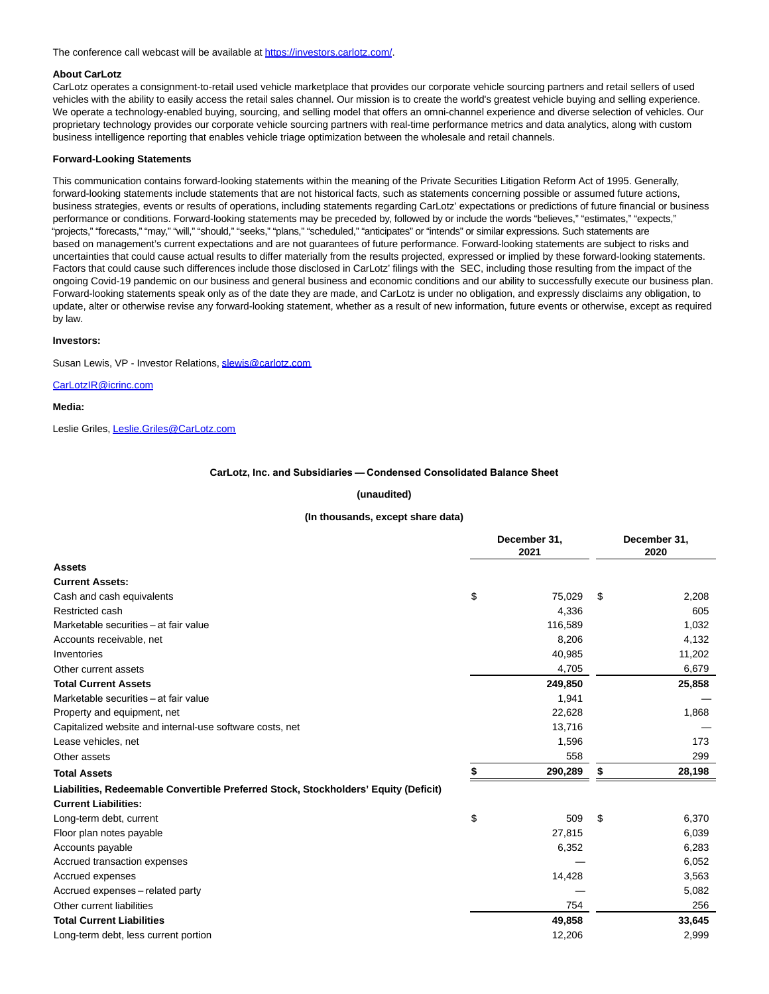The conference call webcast will be available a[t https://investors.carlotz.com/.](https://www.globenewswire.com/Tracker?data=G0XZqF5KZEqHTARbiWdEsT-afFqf9Rv5YyQp3Fwqz90c5ekUL8-Bllv2qNADbdFoZLUd5gxBZVvnMLQUxGe8y4rXCb6I8UIDO8-pV3Q571TPjvx0mqQ7cwndh4Vi_7Zp)

#### **About CarLotz**

CarLotz operates a consignment-to-retail used vehicle marketplace that provides our corporate vehicle sourcing partners and retail sellers of used vehicles with the ability to easily access the retail sales channel. Our mission is to create the world's greatest vehicle buying and selling experience. We operate a technology-enabled buying, sourcing, and selling model that offers an omni-channel experience and diverse selection of vehicles. Our proprietary technology provides our corporate vehicle sourcing partners with real-time performance metrics and data analytics, along with custom business intelligence reporting that enables vehicle triage optimization between the wholesale and retail channels.

#### **Forward-Looking Statements**

This communication contains forward-looking statements within the meaning of the Private Securities Litigation Reform Act of 1995. Generally, forward-looking statements include statements that are not historical facts, such as statements concerning possible or assumed future actions, business strategies, events or results of operations, including statements regarding CarLotz' expectations or predictions of future financial or business performance or conditions. Forward-looking statements may be preceded by, followed by or include the words "believes," "estimates," "expects," "projects," "forecasts," "may," "will," "should," "seeks," "plans," "scheduled," "anticipates" or "intends" or similar expressions. Such statements are based on management's current expectations and are not guarantees of future performance. Forward-looking statements are subject to risks and uncertainties that could cause actual results to differ materially from the results projected, expressed or implied by these forward-looking statements. Factors that could cause such differences include those disclosed in CarLotz' filings with the SEC, including those resulting from the impact of the ongoing Covid-19 pandemic on our business and general business and economic conditions and our ability to successfully execute our business plan. Forward-looking statements speak only as of the date they are made, and CarLotz is under no obligation, and expressly disclaims any obligation, to update, alter or otherwise revise any forward-looking statement, whether as a result of new information, future events or otherwise, except as required by law.

#### **Investors:**

Susan Lewis, VP - Investor Relations, [slewis@carlotz.com](https://www.globenewswire.com/Tracker?data=VeldO0WmINwqfXSOFwwX9Q7WGgZqGn7dClFIaVAv3eIt3kX-BSP8__YDukYUmI5EcRD-EsiN02zmyFPBRKZKE7dzHkzeT4pctcp0XL42_lc=)

## [CarLotzIR@icrinc.com](https://www.globenewswire.com/Tracker?data=ZkxZ8XOEbx1YJ6gaVsn-5lzKAuFPj8wb6ilbBWk05BlAmPKpjcXDbVHYv7AZp3KB31I_D0Uy3l8TMumEdSKiGxuDZ0fu67DMY9AltnwuAtg=)

**Media:**

Leslie Griles[, Leslie.Griles@CarLotz.com](https://www.globenewswire.com/Tracker?data=pZjX0JNXnuqs_1n0D01r-EpjS1XtEemxUtrw9ttV-FdAJvmcikwJ4DPv7DKT2f5QTuvdfX_-Az5_8D1KQh3TO6aii0v2odVhNNQxMPfMG9M=)

#### **CarLotz, Inc. and Subsidiaries — Condensed Consolidated Balance Sheet**

#### **(unaudited)**

## **(In thousands, except share data)**

|                                                                                     | December 31,<br>2021 |         |    | December 31,<br>2020 |  |  |
|-------------------------------------------------------------------------------------|----------------------|---------|----|----------------------|--|--|
| <b>Assets</b>                                                                       |                      |         |    |                      |  |  |
| <b>Current Assets:</b>                                                              |                      |         |    |                      |  |  |
| Cash and cash equivalents                                                           | \$                   | 75,029  | \$ | 2,208                |  |  |
| Restricted cash                                                                     |                      | 4.336   |    | 605                  |  |  |
| Marketable securities - at fair value                                               |                      | 116,589 |    | 1,032                |  |  |
| Accounts receivable, net                                                            |                      | 8,206   |    | 4,132                |  |  |
| Inventories                                                                         |                      | 40,985  |    | 11,202               |  |  |
| Other current assets                                                                |                      | 4,705   |    | 6,679                |  |  |
| <b>Total Current Assets</b>                                                         |                      | 249,850 |    | 25,858               |  |  |
| Marketable securities - at fair value                                               |                      | 1,941   |    |                      |  |  |
| Property and equipment, net                                                         |                      | 22,628  |    | 1,868                |  |  |
| Capitalized website and internal-use software costs, net                            |                      | 13,716  |    |                      |  |  |
| Lease vehicles, net                                                                 |                      | 1,596   |    | 173                  |  |  |
| Other assets                                                                        |                      | 558     |    | 299                  |  |  |
| <b>Total Assets</b>                                                                 | S                    | 290,289 | S  | 28,198               |  |  |
| Liabilities, Redeemable Convertible Preferred Stock, Stockholders' Equity (Deficit) |                      |         |    |                      |  |  |
| <b>Current Liabilities:</b>                                                         |                      |         |    |                      |  |  |
| Long-term debt, current                                                             | \$                   | 509     | \$ | 6,370                |  |  |
| Floor plan notes payable                                                            |                      | 27,815  |    | 6,039                |  |  |
| Accounts payable                                                                    |                      | 6,352   |    | 6,283                |  |  |
| Accrued transaction expenses                                                        |                      |         |    | 6,052                |  |  |
| Accrued expenses                                                                    |                      | 14,428  |    | 3,563                |  |  |
| Accrued expenses - related party                                                    |                      |         |    | 5,082                |  |  |
| Other current liabilities                                                           |                      | 754     |    | 256                  |  |  |
| <b>Total Current Liabilities</b>                                                    |                      | 49,858  |    | 33,645               |  |  |
| Long-term debt, less current portion                                                |                      | 12,206  |    | 2,999                |  |  |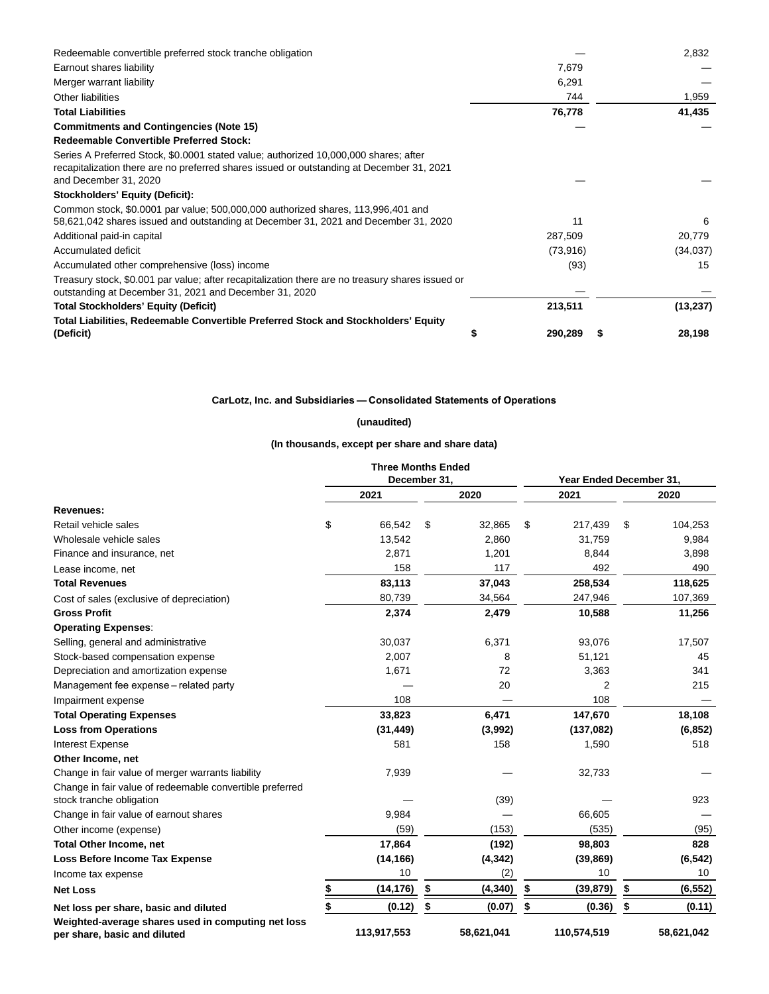| Redeemable convertible preferred stock tranche obligation                                                                                                                                                  |   |           | 2,832     |
|------------------------------------------------------------------------------------------------------------------------------------------------------------------------------------------------------------|---|-----------|-----------|
| Earnout shares liability                                                                                                                                                                                   |   | 7,679     |           |
| Merger warrant liability                                                                                                                                                                                   |   | 6,291     |           |
| Other liabilities                                                                                                                                                                                          |   | 744       | 1,959     |
| <b>Total Liabilities</b>                                                                                                                                                                                   |   | 76,778    | 41,435    |
| <b>Commitments and Contingencies (Note 15)</b>                                                                                                                                                             |   |           |           |
| <b>Redeemable Convertible Preferred Stock:</b>                                                                                                                                                             |   |           |           |
| Series A Preferred Stock, \$0.0001 stated value; authorized 10,000,000 shares; after<br>recapitalization there are no preferred shares issued or outstanding at December 31, 2021<br>and December 31, 2020 |   |           |           |
| Stockholders' Equity (Deficit):                                                                                                                                                                            |   |           |           |
| Common stock, \$0.0001 par value; 500,000,000 authorized shares, 113,996,401 and<br>58,621,042 shares issued and outstanding at December 31, 2021 and December 31, 2020                                    |   | 11        | 6         |
| Additional paid-in capital                                                                                                                                                                                 |   | 287,509   | 20,779    |
| Accumulated deficit                                                                                                                                                                                        |   | (73, 916) | (34,037)  |
| Accumulated other comprehensive (loss) income                                                                                                                                                              |   | (93)      | 15        |
| Treasury stock, \$0.001 par value; after recapitalization there are no treasury shares issued or<br>outstanding at December 31, 2021 and December 31, 2020                                                 |   |           |           |
| <b>Total Stockholders' Equity (Deficit)</b>                                                                                                                                                                |   | 213,511   | (13, 237) |
| Total Liabilities, Redeemable Convertible Preferred Stock and Stockholders' Equity<br>(Deficit)                                                                                                            | S | 290,289   | 28,198    |

## **CarLotz, Inc. and Subsidiaries — Consolidated Statements of Operations**

## **(unaudited)**

**(In thousands, except per share and share data)**

|                                                                                    | <b>Three Months Ended</b> |                |                         |                |
|------------------------------------------------------------------------------------|---------------------------|----------------|-------------------------|----------------|
|                                                                                    | December 31,              |                | Year Ended December 31, |                |
|                                                                                    | 2021                      | 2020           | 2021                    | 2020           |
| <b>Revenues:</b>                                                                   |                           |                |                         |                |
| Retail vehicle sales                                                               | \$<br>66,542              | \$<br>32,865   | \$<br>217,439           | \$<br>104,253  |
| Wholesale vehicle sales                                                            | 13,542                    | 2,860          | 31,759                  | 9,984          |
| Finance and insurance, net                                                         | 2,871                     | 1,201          | 8,844                   | 3,898          |
| Lease income, net                                                                  | 158                       | 117            | 492                     | 490            |
| <b>Total Revenues</b>                                                              | 83,113                    | 37,043         | 258,534                 | 118,625        |
| Cost of sales (exclusive of depreciation)                                          | 80,739                    | 34,564         | 247,946                 | 107,369        |
| <b>Gross Profit</b>                                                                | 2,374                     | 2,479          | 10,588                  | 11,256         |
| <b>Operating Expenses:</b>                                                         |                           |                |                         |                |
| Selling, general and administrative                                                | 30,037                    | 6,371          | 93,076                  | 17,507         |
| Stock-based compensation expense                                                   | 2,007                     | 8              | 51,121                  | 45             |
| Depreciation and amortization expense                                              | 1,671                     | 72             | 3,363                   | 341            |
| Management fee expense – related party                                             |                           | 20             | 2                       | 215            |
| Impairment expense                                                                 | 108                       |                | 108                     |                |
| <b>Total Operating Expenses</b>                                                    | 33,823                    | 6,471          | 147,670                 | 18,108         |
| <b>Loss from Operations</b>                                                        | (31, 449)                 | (3,992)        | (137,082)               | (6, 852)       |
| <b>Interest Expense</b>                                                            | 581                       | 158            | 1,590                   | 518            |
| Other Income, net                                                                  |                           |                |                         |                |
| Change in fair value of merger warrants liability                                  | 7,939                     |                | 32,733                  |                |
| Change in fair value of redeemable convertible preferred                           |                           |                |                         |                |
| stock tranche obligation                                                           |                           | (39)           |                         | 923            |
| Change in fair value of earnout shares                                             | 9,984                     |                | 66,605                  |                |
| Other income (expense)                                                             | (59)                      | (153)          | (535)                   | (95)           |
| <b>Total Other Income, net</b>                                                     | 17,864                    | (192)          | 98,803                  | 828            |
| <b>Loss Before Income Tax Expense</b>                                              | (14, 166)                 | (4, 342)       | (39, 869)               | (6, 542)       |
| Income tax expense                                                                 | 10                        | (2)            | 10                      | 10             |
| <b>Net Loss</b>                                                                    | \$<br>(14, 176)           | \$<br>(4, 340) | \$<br>(39, 879)         | \$<br>(6, 552) |
| Net loss per share, basic and diluted                                              | \$<br>(0.12)              | \$<br>(0.07)   | \$<br>(0.36)            | \$<br>(0.11)   |
| Weighted-average shares used in computing net loss<br>per share, basic and diluted | 113,917,553               | 58,621,041     | 110,574,519             | 58,621,042     |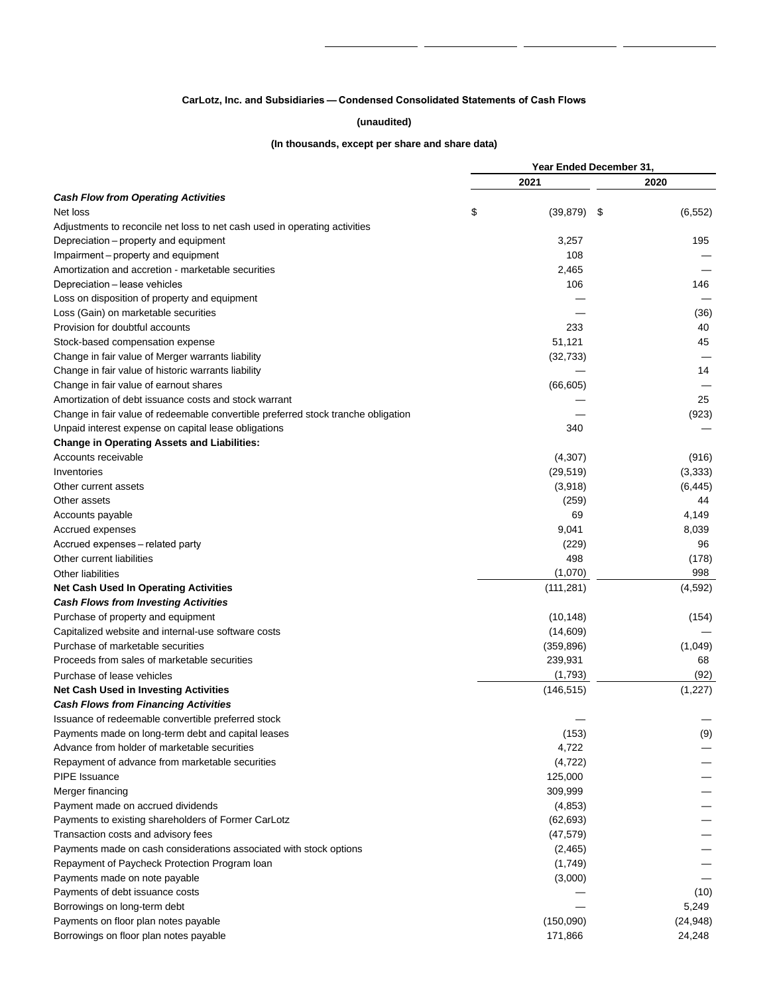## **CarLotz, Inc. and Subsidiaries — Condensed Consolidated Statements of Cash Flows**

## **(unaudited)**

## **(In thousands, except per share and share data)**

|                                                                                   | Year Ended December 31, |                |  |  |  |  |  |
|-----------------------------------------------------------------------------------|-------------------------|----------------|--|--|--|--|--|
|                                                                                   | 2021                    | 2020           |  |  |  |  |  |
| <b>Cash Flow from Operating Activities</b>                                        |                         |                |  |  |  |  |  |
| Net loss                                                                          | \$<br>(39, 879)         | \$<br>(6, 552) |  |  |  |  |  |
| Adjustments to reconcile net loss to net cash used in operating activities        |                         |                |  |  |  |  |  |
| Depreciation – property and equipment                                             | 3,257                   | 195            |  |  |  |  |  |
| Impairment – property and equipment                                               | 108                     |                |  |  |  |  |  |
| Amortization and accretion - marketable securities                                | 2,465                   |                |  |  |  |  |  |
| Depreciation - lease vehicles                                                     | 106                     | 146            |  |  |  |  |  |
| Loss on disposition of property and equipment                                     |                         |                |  |  |  |  |  |
| Loss (Gain) on marketable securities                                              |                         | (36)           |  |  |  |  |  |
| Provision for doubtful accounts                                                   | 233                     | 40             |  |  |  |  |  |
| Stock-based compensation expense                                                  | 51,121                  | 45             |  |  |  |  |  |
| Change in fair value of Merger warrants liability                                 | (32, 733)               |                |  |  |  |  |  |
| Change in fair value of historic warrants liability                               |                         | 14             |  |  |  |  |  |
| Change in fair value of earnout shares                                            | (66, 605)               |                |  |  |  |  |  |
| Amortization of debt issuance costs and stock warrant                             |                         | 25             |  |  |  |  |  |
| Change in fair value of redeemable convertible preferred stock tranche obligation |                         | (923)          |  |  |  |  |  |
| Unpaid interest expense on capital lease obligations                              | 340                     |                |  |  |  |  |  |
| <b>Change in Operating Assets and Liabilities:</b>                                |                         |                |  |  |  |  |  |
| Accounts receivable                                                               | (4,307)                 | (916)          |  |  |  |  |  |
| Inventories                                                                       | (29, 519)               | (3,333)        |  |  |  |  |  |
| Other current assets                                                              | (3,918)                 | (6, 445)       |  |  |  |  |  |
| Other assets                                                                      | (259)                   | 44             |  |  |  |  |  |
| Accounts payable                                                                  | 69                      | 4,149          |  |  |  |  |  |
| Accrued expenses                                                                  | 9,041                   | 8,039          |  |  |  |  |  |
| Accrued expenses - related party                                                  | (229)                   | 96             |  |  |  |  |  |
| Other current liabilities                                                         | 498                     | (178)          |  |  |  |  |  |
|                                                                                   |                         | 998            |  |  |  |  |  |
| <b>Other liabilities</b>                                                          | (1,070)                 |                |  |  |  |  |  |
| <b>Net Cash Used In Operating Activities</b>                                      | (111, 281)              | (4,592)        |  |  |  |  |  |
| <b>Cash Flows from Investing Activities</b>                                       |                         |                |  |  |  |  |  |
| Purchase of property and equipment                                                | (10, 148)               | (154)          |  |  |  |  |  |
| Capitalized website and internal-use software costs                               | (14,609)                |                |  |  |  |  |  |
| Purchase of marketable securities                                                 | (359, 896)              | (1,049)        |  |  |  |  |  |
| Proceeds from sales of marketable securities                                      | 239,931                 | 68             |  |  |  |  |  |
| Purchase of lease vehicles                                                        | (1,793)                 | (92)           |  |  |  |  |  |
| <b>Net Cash Used in Investing Activities</b>                                      | (146, 515)              | (1,227)        |  |  |  |  |  |
| <b>Cash Flows from Financing Activities</b>                                       |                         |                |  |  |  |  |  |
| Issuance of redeemable convertible preferred stock                                |                         |                |  |  |  |  |  |
| Payments made on long-term debt and capital leases                                | (153)                   | (9)            |  |  |  |  |  |
| Advance from holder of marketable securities                                      | 4,722                   |                |  |  |  |  |  |
| Repayment of advance from marketable securities                                   | (4, 722)                |                |  |  |  |  |  |
| PIPE Issuance                                                                     | 125,000                 |                |  |  |  |  |  |
| Merger financing                                                                  | 309,999                 |                |  |  |  |  |  |
| Payment made on accrued dividends                                                 | (4,853)                 |                |  |  |  |  |  |
| Payments to existing shareholders of Former CarLotz                               | (62, 693)               |                |  |  |  |  |  |
| Transaction costs and advisory fees                                               | (47, 579)               |                |  |  |  |  |  |
| Payments made on cash considerations associated with stock options                | (2,465)                 |                |  |  |  |  |  |
| Repayment of Paycheck Protection Program Ioan                                     | (1,749)                 |                |  |  |  |  |  |
| Payments made on note payable                                                     | (3,000)                 |                |  |  |  |  |  |
| Payments of debt issuance costs                                                   |                         | (10)           |  |  |  |  |  |
| Borrowings on long-term debt                                                      |                         | 5,249          |  |  |  |  |  |
| Payments on floor plan notes payable                                              | (150,090)               | (24, 948)      |  |  |  |  |  |
| Borrowings on floor plan notes payable                                            | 171,866                 | 24,248         |  |  |  |  |  |
|                                                                                   |                         |                |  |  |  |  |  |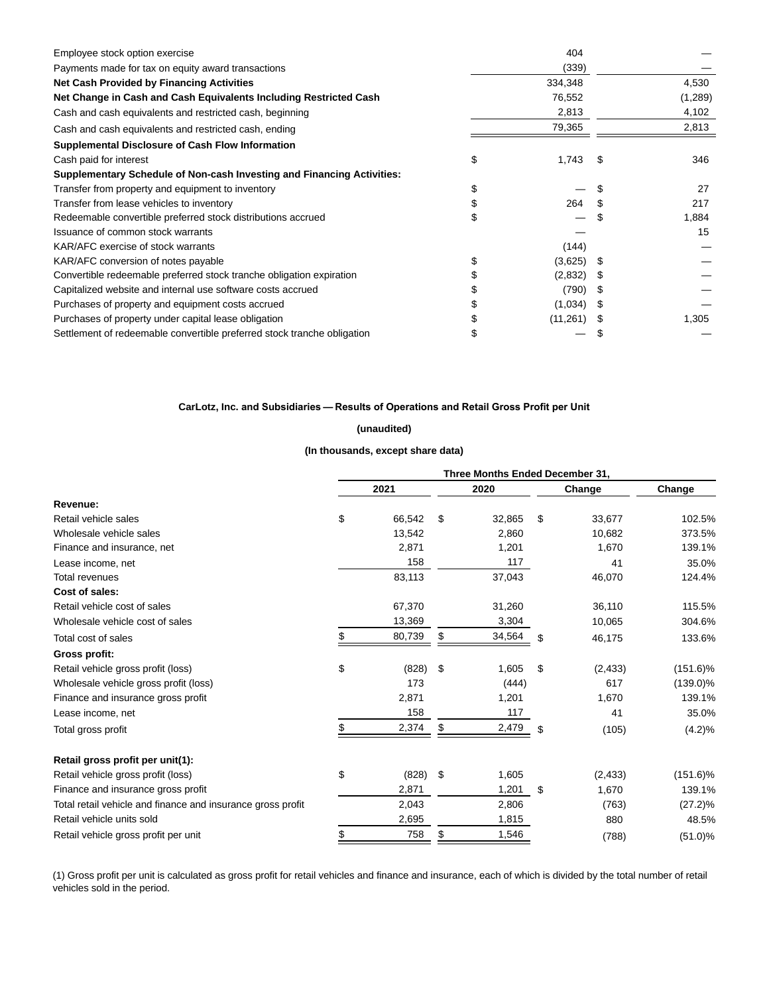| Employee stock option exercise                                          | 404       |      |         |
|-------------------------------------------------------------------------|-----------|------|---------|
| Payments made for tax on equity award transactions                      | (339)     |      |         |
| <b>Net Cash Provided by Financing Activities</b>                        | 334,348   |      | 4,530   |
| Net Change in Cash and Cash Equivalents Including Restricted Cash       | 76,552    |      | (1,289) |
| Cash and cash equivalents and restricted cash, beginning                | 2,813     |      | 4,102   |
| Cash and cash equivalents and restricted cash, ending                   | 79,365    |      | 2,813   |
| Supplemental Disclosure of Cash Flow Information                        |           |      |         |
| Cash paid for interest                                                  | 1,743     |      | 346     |
| Supplementary Schedule of Non-cash Investing and Financing Activities:  |           |      |         |
| Transfer from property and equipment to inventory                       |           |      | 27      |
| Transfer from lease vehicles to inventory                               | 264       |      | 217     |
| Redeemable convertible preferred stock distributions accrued            |           |      | 1,884   |
| Issuance of common stock warrants                                       |           |      | 15      |
| KAR/AFC exercise of stock warrants                                      | (144)     |      |         |
| KAR/AFC conversion of notes payable                                     | (3,625)   | - \$ |         |
| Convertible redeemable preferred stock tranche obligation expiration    | (2,832)   |      |         |
| Capitalized website and internal use software costs accrued             | (790)     | 26   |         |
| Purchases of property and equipment costs accrued                       | (1,034)   |      |         |
| Purchases of property under capital lease obligation                    | (11, 261) |      | 1,305   |
| Settlement of redeemable convertible preferred stock tranche obligation |           |      |         |

## **CarLotz, Inc. and Subsidiaries — Results of Operations and Retail Gross Profit per Unit**

## **(unaudited)**

## **(In thousands, except share data)**

|                                                             | Three Months Ended December 31, |        |     |        |        |          |             |  |  |  |  |
|-------------------------------------------------------------|---------------------------------|--------|-----|--------|--------|----------|-------------|--|--|--|--|
|                                                             |                                 | 2021   |     | 2020   | Change |          | Change      |  |  |  |  |
| Revenue:                                                    |                                 |        |     |        |        |          |             |  |  |  |  |
| Retail vehicle sales                                        | \$                              | 66,542 | \$  | 32,865 | \$     | 33,677   | 102.5%      |  |  |  |  |
| Wholesale vehicle sales                                     |                                 | 13,542 |     | 2,860  |        | 10,682   | 373.5%      |  |  |  |  |
| Finance and insurance, net                                  |                                 | 2,871  |     | 1,201  |        | 1,670    | 139.1%      |  |  |  |  |
| Lease income, net                                           |                                 | 158    |     | 117    |        | 41       | 35.0%       |  |  |  |  |
| <b>Total revenues</b>                                       |                                 | 83,113 |     | 37,043 |        | 46,070   | 124.4%      |  |  |  |  |
| Cost of sales:                                              |                                 |        |     |        |        |          |             |  |  |  |  |
| Retail vehicle cost of sales                                |                                 | 67,370 |     | 31,260 |        | 36,110   | 115.5%      |  |  |  |  |
| Wholesale vehicle cost of sales                             |                                 | 13,369 |     | 3,304  |        | 10,065   | 304.6%      |  |  |  |  |
| Total cost of sales                                         | \$                              | 80,739 | \$  | 34,564 | \$     | 46,175   | 133.6%      |  |  |  |  |
| Gross profit:                                               |                                 |        |     |        |        |          |             |  |  |  |  |
| Retail vehicle gross profit (loss)                          | \$                              | (828)  | \$  | 1,605  | \$     | (2, 433) | $(151.6)\%$ |  |  |  |  |
| Wholesale vehicle gross profit (loss)                       |                                 | 173    |     | (444)  |        | 617      | $(139.0)\%$ |  |  |  |  |
| Finance and insurance gross profit                          |                                 | 2,871  |     | 1,201  |        | 1,670    | 139.1%      |  |  |  |  |
| Lease income, net                                           |                                 | 158    |     | 117    |        | 41       | 35.0%       |  |  |  |  |
| Total gross profit                                          | \$                              | 2,374  | \$  | 2,479  | \$     | (105)    | $(4.2)\%$   |  |  |  |  |
| Retail gross profit per unit(1):                            |                                 |        |     |        |        |          |             |  |  |  |  |
| Retail vehicle gross profit (loss)                          | \$                              | (828)  | -\$ | 1,605  |        | (2, 433) | $(151.6)\%$ |  |  |  |  |
| Finance and insurance gross profit                          |                                 | 2,871  |     | 1,201  | \$     | 1,670    | 139.1%      |  |  |  |  |
| Total retail vehicle and finance and insurance gross profit |                                 | 2,043  |     | 2,806  |        | (763)    | $(27.2)\%$  |  |  |  |  |
| Retail vehicle units sold                                   |                                 | 2,695  |     | 1,815  |        | 880      | 48.5%       |  |  |  |  |
| Retail vehicle gross profit per unit                        | \$                              | 758    | \$  | 1,546  |        | (788)    | $(51.0)\%$  |  |  |  |  |

(1) Gross profit per unit is calculated as gross profit for retail vehicles and finance and insurance, each of which is divided by the total number of retail vehicles sold in the period.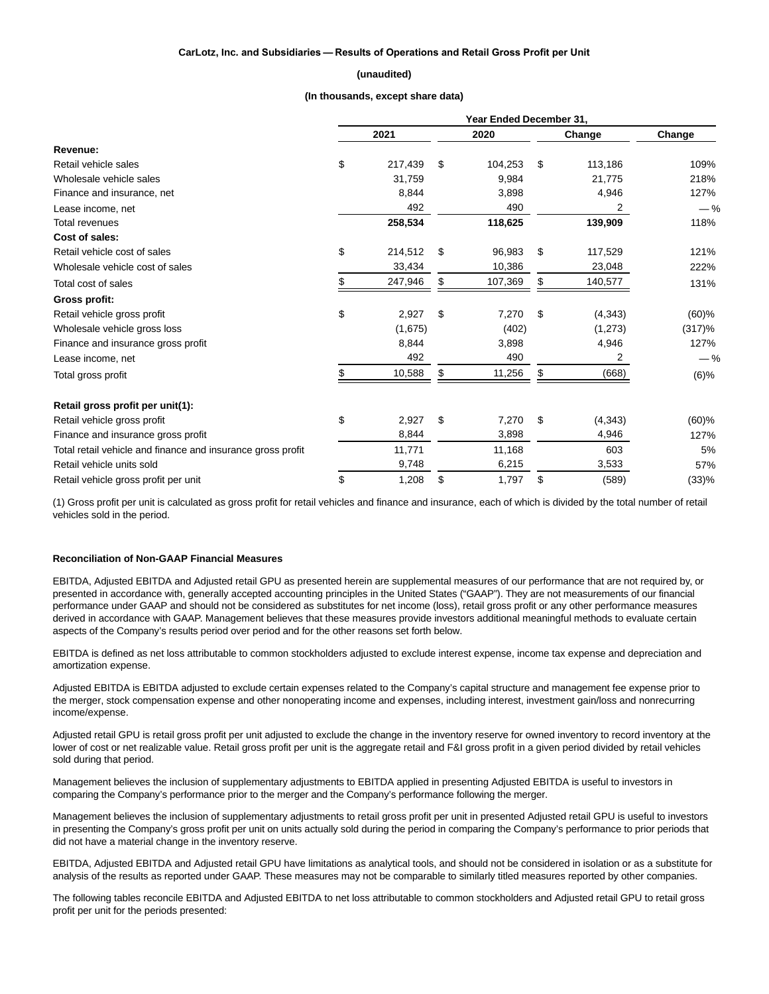### **CarLotz, Inc. and Subsidiaries — Results of Operations and Retail Gross Profit per Unit**

#### **(unaudited)**

#### **(In thousands, except share data)**

|                                                             | Year Ended December 31. |         |    |         |    |          |          |  |  |  |
|-------------------------------------------------------------|-------------------------|---------|----|---------|----|----------|----------|--|--|--|
|                                                             |                         | 2021    |    | 2020    |    | Change   | Change   |  |  |  |
| Revenue:                                                    |                         |         |    |         |    |          |          |  |  |  |
| Retail vehicle sales                                        | \$                      | 217,439 | \$ | 104,253 | \$ | 113,186  | 109%     |  |  |  |
| Wholesale vehicle sales                                     |                         | 31,759  |    | 9,984   |    | 21,775   | 218%     |  |  |  |
| Finance and insurance, net                                  |                         | 8,844   |    | 3,898   |    | 4,946    | 127%     |  |  |  |
| Lease income, net                                           |                         | 492     |    | 490     |    | 2        | $-$ %    |  |  |  |
| <b>Total revenues</b>                                       |                         | 258,534 |    | 118,625 |    | 139,909  | 118%     |  |  |  |
| Cost of sales:                                              |                         |         |    |         |    |          |          |  |  |  |
| Retail vehicle cost of sales                                | \$                      | 214,512 | \$ | 96,983  | \$ | 117,529  | 121%     |  |  |  |
| Wholesale vehicle cost of sales                             |                         | 33,434  |    | 10,386  |    | 23,048   | 222%     |  |  |  |
| Total cost of sales                                         | \$                      | 247,946 | S  | 107,369 | \$ | 140,577  | 131%     |  |  |  |
| Gross profit:                                               |                         |         |    |         |    |          |          |  |  |  |
| Retail vehicle gross profit                                 | \$                      | 2,927   | \$ | 7,270   | \$ | (4, 343) | $(60)$ % |  |  |  |
| Wholesale vehicle gross loss                                |                         | (1,675) |    | (402)   |    | (1, 273) | (317)%   |  |  |  |
| Finance and insurance gross profit                          |                         | 8,844   |    | 3,898   |    | 4,946    | 127%     |  |  |  |
| Lease income, net                                           |                         | 492     |    | 490     |    | 2        | $-$ %    |  |  |  |
| Total gross profit                                          | \$                      | 10,588  | \$ | 11,256  | S  | (668)    | $(6)\%$  |  |  |  |
| Retail gross profit per unit(1):                            |                         |         |    |         |    |          |          |  |  |  |
| Retail vehicle gross profit                                 | \$                      | 2,927   | \$ | 7,270   | S  | (4, 343) | $(60)$ % |  |  |  |
| Finance and insurance gross profit                          |                         | 8,844   |    | 3,898   |    | 4,946    | 127%     |  |  |  |
| Total retail vehicle and finance and insurance gross profit |                         | 11,771  |    | 11,168  |    | 603      | 5%       |  |  |  |
| Retail vehicle units sold                                   |                         | 9,748   |    | 6,215   |    | 3,533    | 57%      |  |  |  |
| Retail vehicle gross profit per unit                        | \$                      | 1,208   | \$ | 1,797   | \$ | (589)    | (33)%    |  |  |  |

(1) Gross profit per unit is calculated as gross profit for retail vehicles and finance and insurance, each of which is divided by the total number of retail vehicles sold in the period.

#### **Reconciliation of Non-GAAP Financial Measures**

EBITDA, Adjusted EBITDA and Adjusted retail GPU as presented herein are supplemental measures of our performance that are not required by, or presented in accordance with, generally accepted accounting principles in the United States ("GAAP"). They are not measurements of our financial performance under GAAP and should not be considered as substitutes for net income (loss), retail gross profit or any other performance measures derived in accordance with GAAP. Management believes that these measures provide investors additional meaningful methods to evaluate certain aspects of the Company's results period over period and for the other reasons set forth below.

EBITDA is defined as net loss attributable to common stockholders adjusted to exclude interest expense, income tax expense and depreciation and amortization expense.

Adjusted EBITDA is EBITDA adjusted to exclude certain expenses related to the Company's capital structure and management fee expense prior to the merger, stock compensation expense and other nonoperating income and expenses, including interest, investment gain/loss and nonrecurring income/expense.

Adjusted retail GPU is retail gross profit per unit adjusted to exclude the change in the inventory reserve for owned inventory to record inventory at the lower of cost or net realizable value. Retail gross profit per unit is the aggregate retail and F&I gross profit in a given period divided by retail vehicles sold during that period.

Management believes the inclusion of supplementary adjustments to EBITDA applied in presenting Adjusted EBITDA is useful to investors in comparing the Company's performance prior to the merger and the Company's performance following the merger.

Management believes the inclusion of supplementary adjustments to retail gross profit per unit in presented Adjusted retail GPU is useful to investors in presenting the Company's gross profit per unit on units actually sold during the period in comparing the Company's performance to prior periods that did not have a material change in the inventory reserve.

EBITDA, Adjusted EBITDA and Adjusted retail GPU have limitations as analytical tools, and should not be considered in isolation or as a substitute for analysis of the results as reported under GAAP. These measures may not be comparable to similarly titled measures reported by other companies.

The following tables reconcile EBITDA and Adjusted EBITDA to net loss attributable to common stockholders and Adjusted retail GPU to retail gross profit per unit for the periods presented: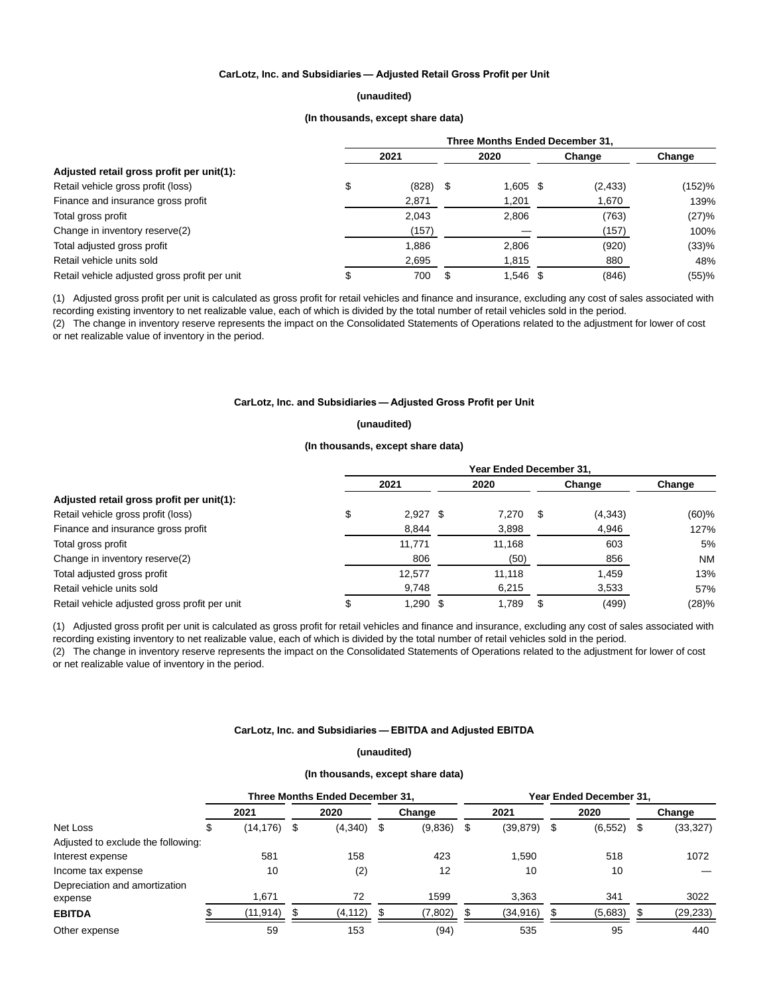## **CarLotz, Inc. and Subsidiaries — Adjusted Retail Gross Profit per Unit**

## **(unaudited)**

## **(In thousands, except share data)**

|                                               | Three Months Ended December 31. |       |      |            |  |          |        |  |  |  |  |
|-----------------------------------------------|---------------------------------|-------|------|------------|--|----------|--------|--|--|--|--|
|                                               |                                 |       | 2020 | Change     |  | Change   |        |  |  |  |  |
| Adjusted retail gross profit per unit(1):     |                                 |       |      |            |  |          |        |  |  |  |  |
| Retail vehicle gross profit (loss)            | \$                              | (828) | -S   | $1,605$ \$ |  | (2, 433) | (152)% |  |  |  |  |
| Finance and insurance gross profit            |                                 | 2,871 |      | 1,201      |  | 1,670    | 139%   |  |  |  |  |
| Total gross profit                            |                                 | 2.043 |      | 2.806      |  | (763)    | (27)%  |  |  |  |  |
| Change in inventory reserve(2)                |                                 | (157) |      |            |  | (157)    | 100%   |  |  |  |  |
| Total adjusted gross profit                   |                                 | 1,886 |      | 2,806      |  | (920)    | (33)%  |  |  |  |  |
| Retail vehicle units sold                     |                                 | 2,695 |      | 1,815      |  | 880      | 48%    |  |  |  |  |
| Retail vehicle adjusted gross profit per unit |                                 | 700   | \$.  | 1,546 \$   |  | (846)    | (55)%  |  |  |  |  |

(1) Adjusted gross profit per unit is calculated as gross profit for retail vehicles and finance and insurance, excluding any cost of sales associated with recording existing inventory to net realizable value, each of which is divided by the total number of retail vehicles sold in the period.

(2) The change in inventory reserve represents the impact on the Consolidated Statements of Operations related to the adjustment for lower of cost or net realizable value of inventory in the period.

## **CarLotz, Inc. and Subsidiaries — Adjusted Gross Profit per Unit**

#### **(unaudited)**

#### **(In thousands, except share data)**

|                                               | Year Ended December 31, |            |  |        |        |         |           |  |  |  |  |
|-----------------------------------------------|-------------------------|------------|--|--------|--------|---------|-----------|--|--|--|--|
|                                               |                         | 2021       |  | 2020   | Change |         | Change    |  |  |  |  |
| Adjusted retail gross profit per unit(1):     |                         |            |  |        |        |         |           |  |  |  |  |
| Retail vehicle gross profit (loss)            |                         | $2,927$ \$ |  | 7.270  |        | (4,343) | (60)%     |  |  |  |  |
| Finance and insurance gross profit            |                         | 8,844      |  | 3,898  |        | 4,946   | 127%      |  |  |  |  |
| Total gross profit                            |                         | 11,771     |  | 11,168 |        | 603     | 5%        |  |  |  |  |
| Change in inventory reserve(2)                |                         | 806        |  | (50)   |        | 856     | <b>NM</b> |  |  |  |  |
| Total adjusted gross profit                   |                         | 12,577     |  | 11,118 |        | 1,459   | 13%       |  |  |  |  |
| Retail vehicle units sold                     |                         | 9,748      |  | 6,215  |        | 3,533   | 57%       |  |  |  |  |
| Retail vehicle adjusted gross profit per unit |                         | 1.290 \$   |  | 1.789  |        | (499)   | (28)%     |  |  |  |  |

(1) Adjusted gross profit per unit is calculated as gross profit for retail vehicles and finance and insurance, excluding any cost of sales associated with recording existing inventory to net realizable value, each of which is divided by the total number of retail vehicles sold in the period.

(2) The change in inventory reserve represents the impact on the Consolidated Statements of Operations related to the adjustment for lower of cost or net realizable value of inventory in the period.

## **CarLotz, Inc. and Subsidiaries — EBITDA and Adjusted EBITDA**

## **(unaudited)**

#### **(In thousands, except share data)**

|                                    |  | Three Months Ended December 31, |   |          |  |         | Year Ended December 31, |           |     |          |    |           |  |
|------------------------------------|--|---------------------------------|---|----------|--|---------|-------------------------|-----------|-----|----------|----|-----------|--|
|                                    |  | 2021                            |   | 2020     |  | Change  |                         | 2021      |     | 2020     |    | Change    |  |
| Net Loss                           |  | (14, 176)                       | S | (4,340)  |  | (9,836) | - \$                    | (39, 879) | - 5 | (6, 552) | \$ | (33, 327) |  |
| Adjusted to exclude the following: |  |                                 |   |          |  |         |                         |           |     |          |    |           |  |
| Interest expense                   |  | 581                             |   | 158      |  | 423     |                         | 1.590     |     | 518      |    | 1072      |  |
| Income tax expense                 |  | 10                              |   | (2)      |  | 12      |                         | 10        |     | 10       |    |           |  |
| Depreciation and amortization      |  |                                 |   |          |  |         |                         |           |     |          |    |           |  |
| expense                            |  | 1.671                           |   | 72       |  | 1599    |                         | 3,363     |     | 341      |    | 3022      |  |
| <b>EBITDA</b>                      |  | (11,914)                        |   | (4, 112) |  | (7,802) |                         | (34, 916) |     | (5,683)  |    | (29, 233) |  |
| Other expense                      |  | 59                              |   | 153      |  | (94)    |                         | 535       |     | 95       |    | 440       |  |